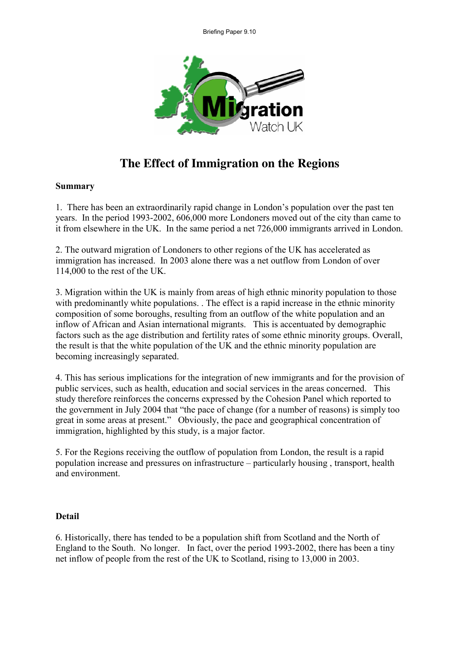

## The Effect of Immigration on the Regions

## **Summary**

1. There has been an extraordinarily rapid change in London's population over the past ten years. In the period 1993-2002, 606,000 more Londoners moved out of the city than came to it from elsewhere in the UK. In the same period a net 726,000 immigrants arrived in London.

2. The outward migration of Londoners to other regions of the UK has accelerated as immigration has increased. In 2003 alone there was a net outflow from London of over 114,000 to the rest of the UK.

3. Migration within the UK is mainly from areas of high ethnic minority population to those with predominantly white populations. The effect is a rapid increase in the ethnic minority composition of some boroughs, resulting from an outflow of the white population and an inflow of African and Asian international migrants. This is accentuated by demographic factors such as the age distribution and fertility rates of some ethnic minority groups. Overall, the result is that the white population of the UK and the ethnic minority population are becoming increasingly separated.

4. This has serious implications for the integration of new immigrants and for the provision of public services, such as health, education and social services in the areas concerned. This study therefore reinforces the concerns expressed by the Cohesion Panel which reported to the government in July 2004 that "the pace of change (for a number of reasons) is simply too great in some areas at present." Obviously, the pace and geographical concentration of immigration, highlighted by this study, is a major factor.

5. For the Regions receiving the outflow of population from London, the result is a rapid population increase and pressures on infrastructure – particularly housing , transport, health and environment.

## **Detail**

6. Historically, there has tended to be a population shift from Scotland and the North of England to the South. No longer. In fact, over the period 1993-2002, there has been a tiny net inflow of people from the rest of the UK to Scotland, rising to 13,000 in 2003.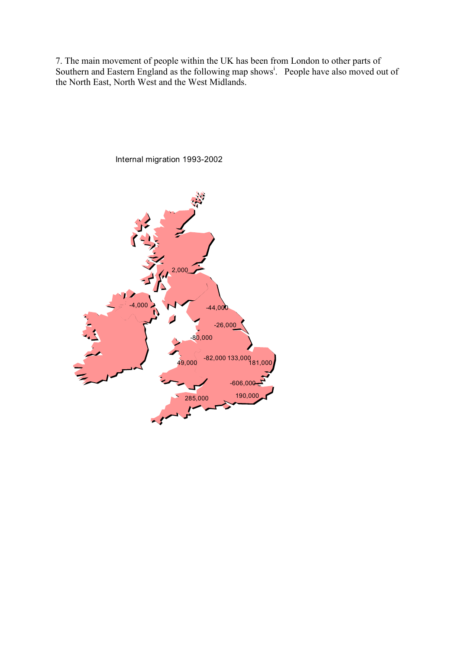7. The main movement of people within the UK has been from London to other parts of Southern and Eastern England as the following map shows<sup>1</sup>. People have also moved out of the North East, North West and the West Midlands.



Internal migration 1993-2002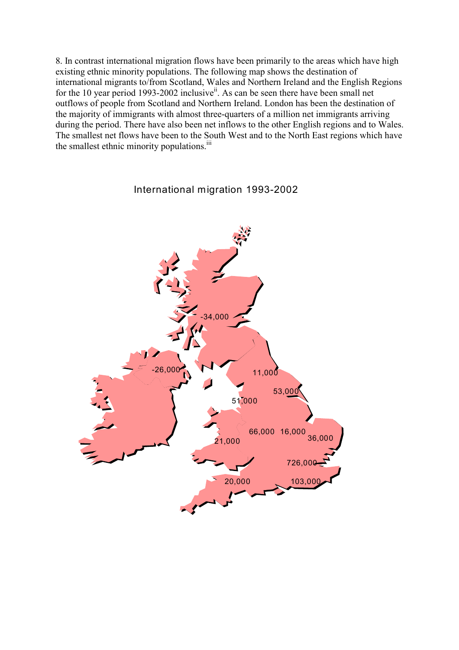8. In contrast international migration flows have been primarily to the areas which have high existing ethnic minority populations. The following map shows the destination of international migrants to/from Scotland, Wales and Northern Ireland and the English Regions for the 10 year period 1993-2002 inclusive<sup>ii</sup>. As can be seen there have been small net outflows of people from Scotland and Northern Ireland. London has been the destination of the majority of immigrants with almost three-quarters of a million net immigrants arriving during the period. There have also been net inflows to the other English regions and to Wales. The smallest net flows have been to the South West and to the North East regions which have the smallest ethnic minority populations.<sup>iii</sup>



International migration 1993-2002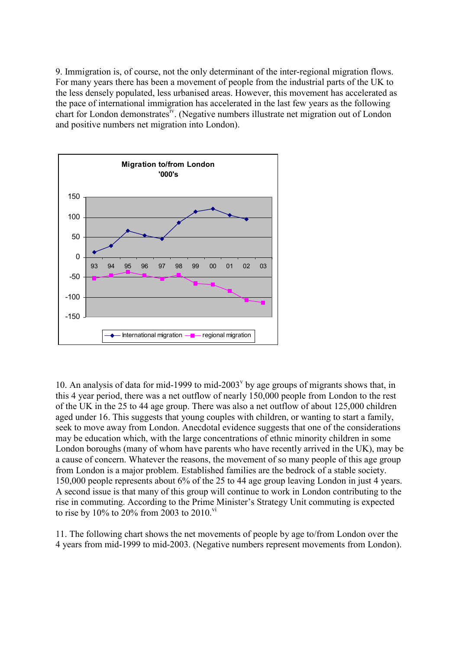9. Immigration is, of course, not the only determinant of the inter-regional migration flows. For many years there has been a movement of people from the industrial parts of the UK to the less densely populated, less urbanised areas. However, this movement has accelerated as the pace of international immigration has accelerated in the last few years as the following chart for London demonstrates<sup>iv</sup>. (Negative numbers illustrate net migration out of London and positive numbers net migration into London).



10. An analysis of data for mid-1999 to mid-2003<sup> $v$ </sup> by age groups of migrants shows that, in this 4 year period, there was a net outflow of nearly 150,000 people from London to the rest of the UK in the 25 to 44 age group. There was also a net outflow of about 125,000 children aged under 16. This suggests that young couples with children, or wanting to start a family, seek to move away from London. Anecdotal evidence suggests that one of the considerations may be education which, with the large concentrations of ethnic minority children in some London boroughs (many of whom have parents who have recently arrived in the UK), may be a cause of concern. Whatever the reasons, the movement of so many people of this age group from London is a major problem. Established families are the bedrock of a stable society. 150,000 people represents about 6% of the 25 to 44 age group leaving London in just 4 years. A second issue is that many of this group will continue to work in London contributing to the rise in commuting. According to the Prime Minister's Strategy Unit commuting is expected to rise by 10% to 20% from 2003 to 2010.<sup>vi</sup>

11. The following chart shows the net movements of people by age to/from London over the 4 years from mid-1999 to mid-2003. (Negative numbers represent movements from London).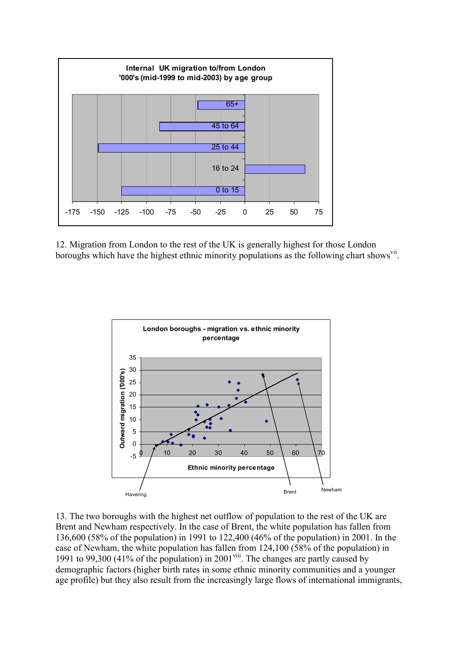

12. Migration from London to the rest of the UK is generally highest for those London boroughs which have the highest ethnic minority populations as the following chart shows<sup>vii</sup>.



13. The two boroughs with the highest net outflow of population to the rest of the UK are Brent and Newham respectively. In the case of Brent, the white population has fallen from 136,600 (58% of the population) in 1991 to 122,400 (46% of the population) in 2001. In the case of Newham, the white population has fallen from 124,100 (58% of the population) in 1991 to 99,300 (41% of the population) in 2001<sup>viii</sup>. The changes are partly caused by demographic factors (higher birth rates in some ethnic minority communities and a younger age profile) but they also result from the increasingly large flows of international immigrants,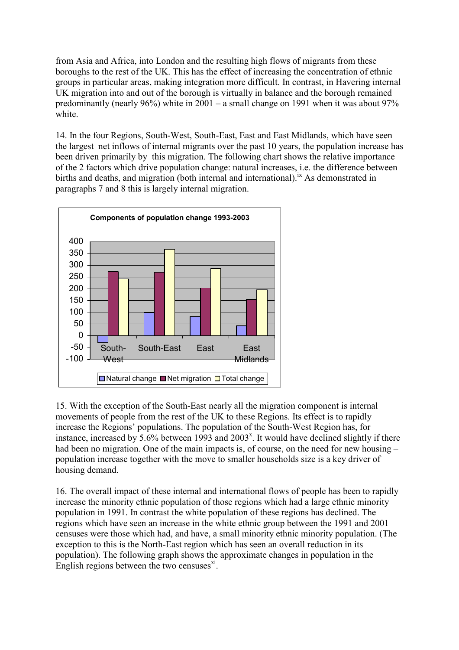from Asia and Africa, into London and the resulting high flows of migrants from these boroughs to the rest of the UK. This has the effect of increasing the concentration of ethnic groups in particular areas, making integration more difficult. In contrast, in Havering internal UK migration into and out of the borough is virtually in balance and the borough remained predominantly (nearly 96%) white in 2001 – a small change on 1991 when it was about 97% white.

14. In the four Regions, South-West, South-East, East and East Midlands, which have seen the largest net inflows of internal migrants over the past 10 years, the population increase has been driven primarily by this migration. The following chart shows the relative importance of the 2 factors which drive population change: natural increases, i.e. the difference between births and deaths, and migration (both internal and international).<sup>ix</sup> As demonstrated in paragraphs 7 and 8 this is largely internal migration.



15. With the exception of the South-East nearly all the migration component is internal movements of people from the rest of the UK to these Regions. Its effect is to rapidly increase the Regions' populations. The population of the South-West Region has, for instance, increased by 5.6% between 1993 and 2003<sup>x</sup>. It would have declined slightly if there had been no migration. One of the main impacts is, of course, on the need for new housing – population increase together with the move to smaller households size is a key driver of housing demand.

16. The overall impact of these internal and international flows of people has been to rapidly increase the minority ethnic population of those regions which had a large ethnic minority population in 1991. In contrast the white population of these regions has declined. The regions which have seen an increase in the white ethnic group between the 1991 and 2001 censuses were those which had, and have, a small minority ethnic minority population. (The exception to this is the North-East region which has seen an overall reduction in its population). The following graph shows the approximate changes in population in the English regions between the two censuses $x_i$ .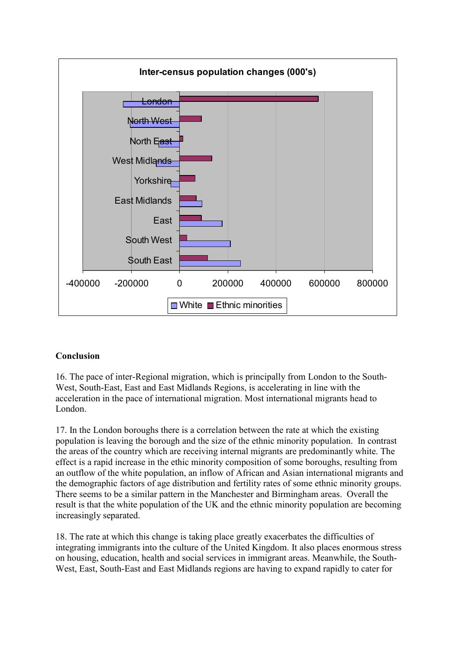

## **Conclusion**

16. The pace of inter-Regional migration, which is principally from London to the South-West, South-East, East and East Midlands Regions, is accelerating in line with the acceleration in the pace of international migration. Most international migrants head to London.

17. In the London boroughs there is a correlation between the rate at which the existing population is leaving the borough and the size of the ethnic minority population. In contrast the areas of the country which are receiving internal migrants are predominantly white. The effect is a rapid increase in the ethic minority composition of some boroughs, resulting from an outflow of the white population, an inflow of African and Asian international migrants and the demographic factors of age distribution and fertility rates of some ethnic minority groups. There seems to be a similar pattern in the Manchester and Birmingham areas. Overall the result is that the white population of the UK and the ethnic minority population are becoming increasingly separated.

18. The rate at which this change is taking place greatly exacerbates the difficulties of integrating immigrants into the culture of the United Kingdom. It also places enormous stress on housing, education, health and social services in immigrant areas. Meanwhile, the South-West, East, South-East and East Midlands regions are having to expand rapidly to cater for